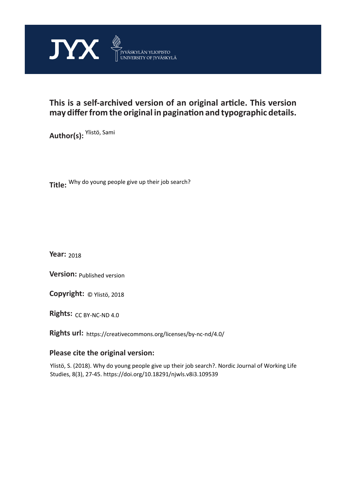

## **This is a self-archived version of an original article. This version may differ from the original in pagination and typographic details.**

**Author(s):**  Ylistö, Sami

**Title:**  Why do young people give up their job search?

**Year:**  2018

**Version: Published version** 

**Version:** Published version<br>**Copyright:** © Ylistö, 2018

**Rights:** CC BY-NC-ND 4.0

**Rights url:**  https://creativecommons.org/licenses/by-nc-nd/4.0/

## **Please cite the original version:**

Ylistö, S. (2018). Why do young people give up their job search?. Nordic Journal of Working Life Studies, 8(3), 27-45. https://doi.org/10.18291/njwls.v8i3.109539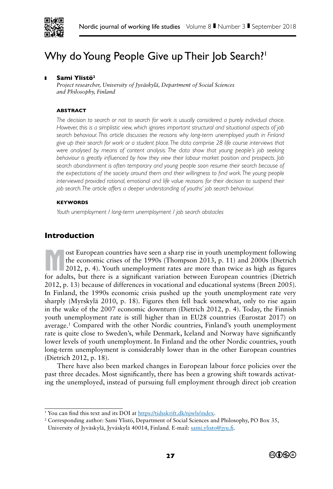

# Why do Young People Give up Their Job Search?<sup>1</sup>

#### ❚ **Sami Ylistö2**

*Project researcher, University of Jyväskylä, Department of Social Sciences and Philosophy, Finland*

#### **ABSTRACT**

*The decision to search or not to search for work is usually considered a purely individual choice. However, this is a simplistic view, which ignores important structural and situational aspects of job search behaviour. This article discusses the reasons why long-term unemployed youth in Finland give up their search for work or a student place. The data comprise 28 life course interviews that*  were analysed by means of content analysis. The data show that young people's job seeking *behaviour is greatly influenced by how they view their labour market position and prospects. Job*  search abandonment is often temporary and young people soon resume their search because of *the expectations of the society around them and their willingness to find work. The young people interviewed provided rational, emotional and life value reasons for their decision to suspend their job search. The article offers a deeper understanding of youths' job search behaviour.*

#### **KEYWORDS**

*Youth unemployment / long-term unemployment / job search obstacles*

## **Introduction**

ost European countries have seen a sharp rise in youth unemployment following<br>the economic crises of the 1990s (Thompson 2013, p. 11) and 2000s (Dietrich<br>2012, p. 4). Youth unemployment rates are more than twice as high as the economic crises of the 1990s (Thompson 2013, p. 11) and 2000s (Dietrich 2012, p. 4). Youth unemployment rates are more than twice as high as figures for adults, but there is a significant variation between European countries (Dietrich 2012, p. 13) because of differences in vocational and educational systems (Breen 2005). In Finland, the 1990s economic crisis pushed up the youth unemployment rate very sharply (Myrskylä 2010, p. 18). Figures then fell back somewhat, only to rise again in the wake of the 2007 economic downturn (Dietrich 2012, p. 4). Today, the Finnish youth unemployment rate is still higher than in EU28 countries (Eurostat 2017) on average.1 Compared with the other Nordic countries, Finland's youth unemployment rate is quite close to Sweden's, while Denmark, Iceland and Norway have significantly lower levels of youth unemployment. In Finland and the other Nordic countries, youth long-term unemployment is considerably lower than in the other European countries (Dietrich 2012, p. 18).

There have also been marked changes in European labour force policies over the past three decades. Most significantly, there has been a growing shift towards activating the unemployed, instead of pursuing full employment through direct job creation

<sup>&</sup>lt;sup>2</sup> Corresponding author: Sami Ylistö, Department of Social Sciences and Philosophy, PO Box 35, University of Jyväskylä, Jyväskylä 40014, Finland. E-mail: sami.ylisto@jyu.fi.



<sup>&</sup>lt;sup>1</sup> You can find this text and its DOI at https://tidsskrift.dk/njwls/index.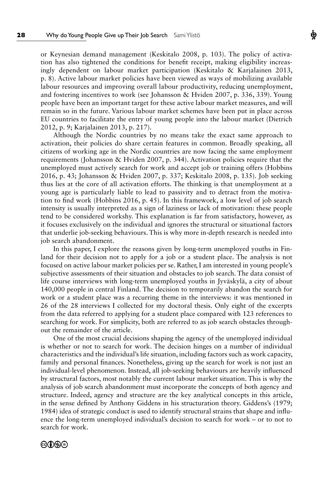or Keynesian demand management (Keskitalo 2008, p. 103). The policy of activation has also tightened the conditions for benefit receipt, making eligibility increasingly dependent on labour market participation (Keskitalo & Karjalainen 2013, p. 8). Active labour market policies have been viewed as ways of mobilizing available labour resources and improving overall labour productivity, reducing unemployment, and fostering incentives to work (see Johansson & Hviden 2007, p. 336, 339). Young people have been an important target for these active labour market measures, and will remain so in the future. Various labour market schemes have been put in place across EU countries to facilitate the entry of young people into the labour market (Dietrich 2012, p. 9; Karjalainen 2013, p. 217).

Ф

Although the Nordic countries by no means take the exact same approach to activation, their policies do share certain features in common. Broadly speaking, all citizens of working age in the Nordic countries are now facing the same employment requirements (Johansson & Hviden 2007, p. 344). Activation policies require that the unemployed must actively search for work and accept job or training offers (Hobbins 2016, p. 43; Johansson & Hviden 2007, p. 337; Keskitalo 2008, p. 135). Job seeking thus lies at the core of all activation efforts. The thinking is that unemployment at a young age is particularly liable to lead to passivity and to detract from the motivation to find work (Hobbins 2016, p. 45). In this framework, a low level of job search intensity is usually interpreted as a sign of laziness or lack of motivation: these people tend to be considered workshy. This explanation is far from satisfactory, however, as it focuses exclusively on the individual and ignores the structural or situational factors that underlie job-seeking behaviours. This is why more in-depth research is needed into job search abandonment.

In this paper, I explore the reasons given by long-term unemployed youths in Finland for their decision not to apply for a job or a student place. The analysis is not focused on active labour market policies per se. Rather, I am interested in young people's subjective assessments of their situation and obstacles to job search. The data consist of life course interviews with long-term unemployed youths in Jyväskylä, a city of about 140,000 people in central Finland. The decision to temporarily abandon the search for work or a student place was a recurring theme in the interviews: it was mentioned in 26 of the 28 interviews I collected for my doctoral thesis. Only eight of the excerpts from the data referred to applying for a student place compared with 123 references to searching for work. For simplicity, both are referred to as job search obstacles throughout the remainder of the article.

One of the most crucial decisions shaping the agency of the unemployed individual is whether or not to search for work. The decision hinges on a number of individual characteristics and the individual's life situation, including factors such as work capacity, family and personal finances. Nonetheless, giving up the search for work is not just an individual-level phenomenon. Instead, all job-seeking behaviours are heavily influenced by structural factors, most notably the current labour market situation. This is why the analysis of job search abandonment must incorporate the concepts of both agency and structure. Indeed, agency and structure are the key analytical concepts in this article, in the sense defined by Anthony Giddens in his structuration theory. Giddens's (1979; 1984) idea of strategic conduct is used to identify structural strains that shape and influence the long-term unemployed individual's decision to search for work – or to not to search for work.

#### ෨∩෧෧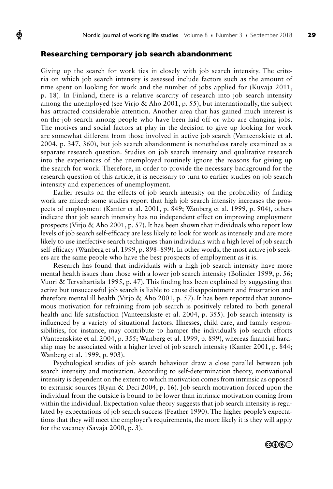#### **Researching temporary job search abandonment**

ф

Giving up the search for work ties in closely with job search intensity. The criteria on which job search intensity is assessed include factors such as the amount of time spent on looking for work and the number of jobs applied for (Kuvaja 2011, p. 18). In Finland, there is a relative scarcity of research into job search intensity among the unemployed (see Virjo & Aho 2001, p. 55), but internationally, the subject has attracted considerable attention. Another area that has gained much interest is on-the-job search among people who have been laid off or who are changing jobs. The motives and social factors at play in the decision to give up looking for work are somewhat different from those involved in active job search (Vanteenskiste et al. 2004, p. 347, 360), but job search abandonment is nonetheless rarely examined as a separate research question. Studies on job search intensity and qualitative research into the experiences of the unemployed routinely ignore the reasons for giving up the search for work. Therefore, in order to provide the necessary background for the research question of this article, it is necessary to turn to earlier studies on job search intensity and experiences of unemployment.

Earlier results on the effects of job search intensity on the probability of finding work are mixed: some studies report that high job search intensity increases the prospects of employment (Kanfer et al. 2001, p. 849; Wanberg et al. 1999, p. 904), others indicate that job search intensity has no independent effect on improving employment prospects (Virjo & Aho 2001, p. 57). It has been shown that individuals who report low levels of job search self-efficacy are less likely to look for work as intensely and are more likely to use ineffective search techniques than individuals with a high level of job search self-efficacy (Wanberg et al. 1999, p. 898–899). In other words, the most active job seekers are the same people who have the best prospects of employment as it is.

Research has found that individuals with a high job search intensity have more mental health issues than those with a lower job search intensity (Bolinder 1999, p. 56; Vuori & Tervahartiala 1995, p. 47). This finding has been explained by suggesting that active but unsuccessful job search is liable to cause disappointment and frustration and therefore mental ill health (Virjo & Aho 2001, p. 57). It has been reported that autonomous motivation for refraining from job search is positively related to both general health and life satisfaction (Vanteenskiste et al. 2004, p. 355). Job search intensity is influenced by a variety of situational factors. Illnesses, child care, and family responsibilities, for instance, may contribute to hamper the individual's job search efforts (Vanteenskiste et al. 2004, p. 355; Wanberg et al. 1999, p. 899), whereas financial hardship may be associated with a higher level of job search intensity (Kanfer 2001, p. 844; Wanberg et al. 1999, p. 903).

Psychological studies of job search behaviour draw a close parallel between job search intensity and motivation. According to self-determination theory, motivational intensity is dependent on the extent to which motivation comes from intrinsic as opposed to extrinsic sources (Ryan & Deci 2004, p. 16). Job search motivation forced upon the individual from the outside is bound to be lower than intrinsic motivation coming from within the individual. Expectation value theory suggests that job search intensity is regulated by expectations of job search success (Feather 1990). The higher people's expectations that they will meet the employer's requirements, the more likely it is they will apply for the vacancy (Savaja 2000, p. 3).

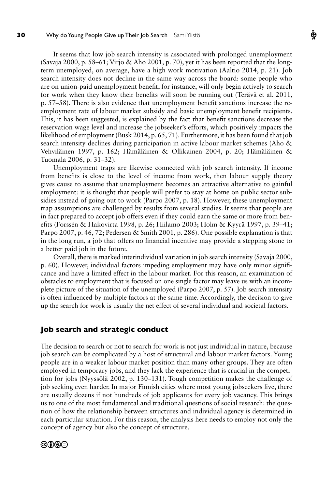It seems that low job search intensity is associated with prolonged unemployment (Savaja 2000, p. 58–61; Virjo & Aho 2001, p. 70), yet it has been reported that the longterm unemployed, on average, have a high work motivation (Aaltio 2014, p. 21). Job search intensity does not decline in the same way across the board: some people who are on union-paid unemployment benefit, for instance, will only begin actively to search for work when they know their benefits will soon be running out (Terävä et al. 2011, p. 57–58). There is also evidence that unemployment benefit sanctions increase the reemployment rate of labour market subsidy and basic unemployment benefit recipients. This, it has been suggested, is explained by the fact that benefit sanctions decrease the reservation wage level and increase the jobseeker's efforts, which positively impacts the likelihood of employment (Busk 2014, p. 65, 71). Furthermore, it has been found that job search intensity declines during participation in active labour market schemes (Aho & Vehviläinen 1997, p. 162; Hämäläinen & Ollikainen 2004, p. 20; Hämäläinen & Tuomala 2006, p. 31–32).

Ф

Unemployment traps are likewise connected with job search intensity. If income from benefits is close to the level of income from work, then labour supply theory gives cause to assume that unemployment becomes an attractive alternative to gainful employment: it is thought that people will prefer to stay at home on public sector subsidies instead of going out to work (Parpo 2007, p. 18). However, these unemployment trap assumptions are challenged by results from several studies. It seems that people are in fact prepared to accept job offers even if they could earn the same or more from benefits (Forssén & Hakovirta 1998, p. 26; Hiilamo 2003; Holm & Kyyrä 1997, p. 39–41; Parpo 2007, p. 46, 72; Pedersen & Smith 2001, p. 286). One possible explanation is that in the long run, a job that offers no financial incentive may provide a stepping stone to a better paid job in the future.

Overall, there is marked interindividual variation in job search intensity (Savaja 2000, p. 60). However, individual factors impeding employment may have only minor significance and have a limited effect in the labour market. For this reason, an examination of obstacles to employment that is focused on one single factor may leave us with an incomplete picture of the situation of the unemployed (Parpo 2007, p. 57). Job search intensity is often influenced by multiple factors at the same time. Accordingly, the decision to give up the search for work is usually the net effect of several individual and societal factors.

#### **Job search and strategic conduct**

The decision to search or not to search for work is not just individual in nature, because job search can be complicated by a host of structural and labour market factors. Young people are in a weaker labour market position than many other groups. They are often employed in temporary jobs, and they lack the experience that is crucial in the competition for jobs (Nyyssölä 2002, p. 130–131). Tough competition makes the challenge of job seeking even harder. In major Finnish cities where most young jobseekers live, there are usually dozens if not hundreds of job applicants for every job vacancy. This brings us to one of the most fundamental and traditional questions of social research: the question of how the relationship between structures and individual agency is determined in each particular situation. For this reason, the analysis here needs to employ not only the concept of agency but also the concept of structure.

## ©û\$⊖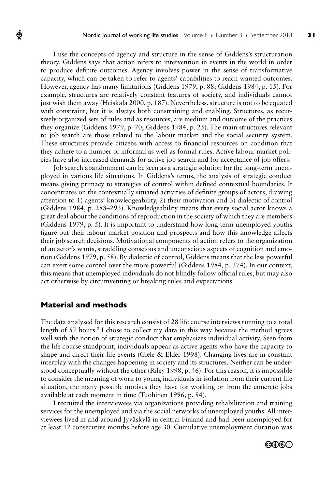I use the concepts of agency and structure in the sense of Giddens's structuration theory. Giddens says that action refers to intervention in events in the world in order to produce definite outcomes. Agency involves power in the sense of transformative capacity, which can be taken to refer to agents' capabilities to reach wanted outcomes. However, agency has many limitations (Giddens 1979, p. 88; Giddens 1984, p. 15). For example, structures are relatively constant features of society, and individuals cannot just wish them away (Heiskala 2000, p. 187). Nevertheless, structure is not to be equated with constraint, but it is always both constraining and enabling. Structures, as recursively organized sets of rules and as resources, are medium and outcome of the practices they organize (Giddens 1979, p. 70; Giddens 1984, p. 25). The main structures relevant to job search are those related to the labour market and the social security system. These structures provide citizens with access to financial resources on condition that they adhere to a number of informal as well as formal rules. Active labour market policies have also increased demands for active job search and for acceptance of job offers.

Job search abandonment can be seen as a strategic solution for the long-term unemployed in various life situations. In Giddens's terms, the analysis of strategic conduct means giving primacy to strategies of control within defined contextual boundaries. It concentrates on the contextually situated activities of definite groups of actors, drawing attention to 1) agents' knowledgeability, 2) their motivation and 3) dialectic of control (Giddens 1984, p. 288–293). Knowledgeability means that every social actor knows a great deal about the conditions of reproduction in the society of which they are members (Giddens 1979, p. 5). It is important to understand how long-term unemployed youths figure out their labour market position and prospects and how this knowledge affects their job search decisions. Motivational components of action refers to the organization of an actor's wants, straddling conscious and unconscious aspects of cognition and emotion (Giddens 1979, p. 58). By dialectic of control, Giddens means that the less powerful can exert some control over the more powerful (Giddens 1984, p. 374). In our context, this means that unemployed individuals do not blindly follow official rules, but may also act otherwise by circumventing or breaking rules and expectations.

## **Material and methods**

ф

The data analysed for this research consist of 28 life course interviews running to a total length of  $57$  hours.<sup>2</sup> I chose to collect my data in this way because the method agrees well with the notion of strategic conduct that emphasizes individual activity. Seen from the life course standpoint, individuals appear as active agents who have the capacity to shape and direct their life events (Giele & Elder 1998). Changing lives are in constant interplay with the changes happening in society and its structures. Neither can be understood conceptually without the other (Riley 1998, p. 46). For this reason, it is impossible to consider the meaning of work to young individuals in isolation from their current life situation, the many possible motives they have for working or from the concrete jobs available at each moment in time (Tuohinen 1996, p. 84).

I recruited the interviewees via organizations providing rehabilitation and training services for the unemployed and via the social networks of unemployed youths. All interviewees lived in and around Jyväskylä in central Finland and had been unemployed for at least 12 consecutive months before age 30. Cumulative unemployment duration was

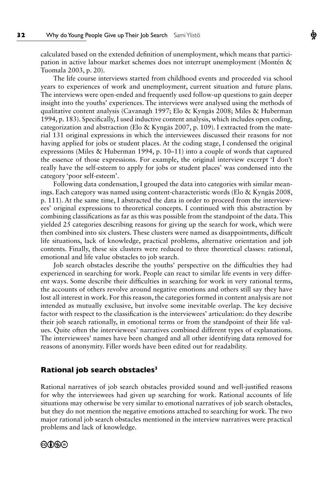calculated based on the extended definition of unemployment, which means that participation in active labour market schemes does not interrupt unemployment (Montén & Tuomala 2003, p. 20).

The life course interviews started from childhood events and proceeded via school years to experiences of work and unemployment, current situation and future plans. The interviews were open-ended and frequently used follow-up questions to gain deeper insight into the youths' experiences. The interviews were analysed using the methods of qualitative content analysis (Cavanagh 1997; Elo & Kyngäs 2008; Miles & Huberman 1994, p. 183). Specifically, I used inductive content analysis, which includes open coding, categorization and abstraction (Elo & Kyngäs 2007, p. 109). I extracted from the material 131 original expressions in which the interviewees discussed their reasons for not having applied for jobs or student places. At the coding stage, I condensed the original expressions (Miles & Huberman 1994, p. 10–11) into a couple of words that captured the essence of those expressions. For example, the original interview excerpt 'I don't really have the self-esteem to apply for jobs or student places' was condensed into the category 'poor self-esteem'.

Following data condensation, I grouped the data into categories with similar meanings. Each category was named using content-characteristic words (Elo & Kyngäs 2008, p. 111). At the same time, I abstracted the data in order to proceed from the interviewees' original expressions to theoretical concepts. I continued with this abstraction by combining classifications as far as this was possible from the standpoint of the data. This yielded 25 categories describing reasons for giving up the search for work, which were then combined into six clusters. These clusters were named as disappointments, difficult life situations, lack of knowledge, practical problems, alternative orientation and job contents. Finally, these six clusters were reduced to three theoretical classes: rational, emotional and life value obstacles to job search.

Job search obstacles describe the youths' perspective on the difficulties they had experienced in searching for work. People can react to similar life events in very different ways. Some describe their difficulties in searching for work in very rational terms, the accounts of others revolve around negative emotions and others still say they have lost all interest in work. For this reason, the categories formed in content analysis are not intended as mutually exclusive, but involve some inevitable overlap. The key decisive factor with respect to the classification is the interviewees' articulation: do they describe their job search rationally, in emotional terms or from the standpoint of their life values. Quite often the interviewees' narratives combined different types of explanations. The interviewees' names have been changed and all other identifying data removed for reasons of anonymity. Filler words have been edited out for readability.

#### **Rational job search obstacles3**

Rational narratives of job search obstacles provided sound and well-justified reasons for why the interviewees had given up searching for work. Rational accounts of life situations may otherwise be very similar to emotional narratives of job search obstacles, but they do not mention the negative emotions attached to searching for work. The two major rational job search obstacles mentioned in the interview narratives were practical problems and lack of knowledge.

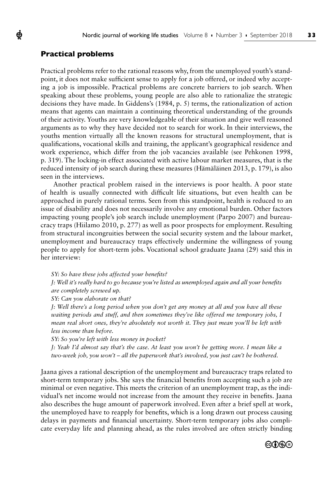#### **Practical problems**

ф

Practical problems refer to the rational reasons why, from the unemployed youth's standpoint, it does not make sufficient sense to apply for a job offered, or indeed why accepting a job is impossible. Practical problems are concrete barriers to job search. When speaking about these problems, young people are also able to rationalize the strategic decisions they have made. In Giddens's (1984, p. 5) terms, the rationalization of action means that agents can maintain a continuing theoretical understanding of the grounds of their activity. Youths are very knowledgeable of their situation and give well reasoned arguments as to why they have decided not to search for work. In their interviews, the youths mention virtually all the known reasons for structural unemployment, that is qualifications, vocational skills and training, the applicant's geographical residence and work experience, which differ from the job vacancies available (see Pehkonen 1998, p. 319). The locking-in effect associated with active labour market measures, that is the reduced intensity of job search during these measures (Hämäläinen 2013, p. 179), is also seen in the interviews.

Another practical problem raised in the interviews is poor health. A poor state of health is usually connected with difficult life situations, but even health can be approached in purely rational terms. Seen from this standpoint, health is reduced to an issue of disability and does not necessarily involve any emotional burden. Other factors impacting young people's job search include unemployment (Parpo 2007) and bureaucracy traps (Hiilamo 2010, p. 277) as well as poor prospects for employment. Resulting from structural incongruities between the social security system and the labour market, unemployment and bureaucracy traps effectively undermine the willingness of young people to apply for short-term jobs. Vocational school graduate Jaana (29) said this in her interview:

*SY: So have these jobs affected your benefits?*

*J: Well it's really hard to go because you're listed as unemployed again and all your benefits are completely screwed up.* 

*SY: Can you elaborate on that?*

*J: Well there's a long period when you don't get any money at all and you have all these waiting periods and stuff, and then sometimes they've like offered me temporary jobs, I mean real short ones, they're absolutely not worth it. They just mean you'll be left with less income than before.* 

*SY: So you're left with less money in pocket?*

*J: Yeah I'd almost say that's the case. At least you won't be getting more. I mean like a two-week job, you won't – all the paperwork that's involved, you just can't be bothered.*

Jaana gives a rational description of the unemployment and bureaucracy traps related to short-term temporary jobs. She says the financial benefits from accepting such a job are minimal or even negative. This meets the criterion of an unemployment trap, as the individual's net income would not increase from the amount they receive in benefits. Jaana also describes the huge amount of paperwork involved. Even after a brief spell at work, the unemployed have to reapply for benefits, which is a long drawn out process causing delays in payments and financial uncertainty. Short-term temporary jobs also complicate everyday life and planning ahead, as the rules involved are often strictly binding

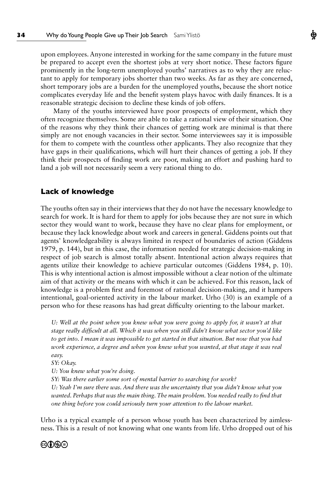upon employees. Anyone interested in working for the same company in the future must be prepared to accept even the shortest jobs at very short notice. These factors figure prominently in the long-term unemployed youths' narratives as to why they are reluctant to apply for temporary jobs shorter than two weeks. As far as they are concerned, short temporary jobs are a burden for the unemployed youths, because the short notice complicates everyday life and the benefit system plays havoc with daily finances. It is a reasonable strategic decision to decline these kinds of job offers.

Ф

Many of the youths interviewed have poor prospects of employment, which they often recognize themselves. Some are able to take a rational view of their situation. One of the reasons why they think their chances of getting work are minimal is that there simply are not enough vacancies in their sector. Some interviewees say it is impossible for them to compete with the countless other applicants. They also recognize that they have gaps in their qualifications, which will hurt their chances of getting a job. If they think their prospects of finding work are poor, making an effort and pushing hard to land a job will not necessarily seem a very rational thing to do.

#### **Lack of knowledge**

The youths often say in their interviews that they do not have the necessary knowledge to search for work. It is hard for them to apply for jobs because they are not sure in which sector they would want to work, because they have no clear plans for employment, or because they lack knowledge about work and careers in general. Giddens points out that agents' knowledgeability is always limited in respect of boundaries of action (Giddens 1979, p. 144), but in this case, the information needed for strategic decision-making in respect of job search is almost totally absent. Intentional action always requires that agents utilize their knowledge to achieve particular outcomes (Giddens 1984, p. 10). This is why intentional action is almost impossible without a clear notion of the ultimate aim of that activity or the means with which it can be achieved. For this reason, lack of knowledge is a problem first and foremost of rational decision-making, and it hampers intentional, goal-oriented activity in the labour market. Urho (30) is an example of a person who for these reasons has had great difficulty orienting to the labour market.

*U: Well at the point when you knew what you were going to apply for, it wasn't at that stage really difficult at all. Which it was when you still didn't know what sector you'd like to get into. I mean it was impossible to get started in that situation. But now that you had work experience, a degree and when you knew what you wanted, at that stage it was real easy.*

*SY: Okay.*

*U: You knew what you're doing.*

*SY: Was there earlier some sort of mental barrier to searching for work?*

*U: Yeah I'm sure there was. And there was the uncertainty that you didn't know what you wanted. Perhaps that was the main thing. The main problem. You needed really to find that one thing before you could seriously turn your attention to the labour market.*

Urho is a typical example of a person whose youth has been characterized by aimlessness. This is a result of not knowing what one wants from life. Urho dropped out of his

#### ෨∩෧෧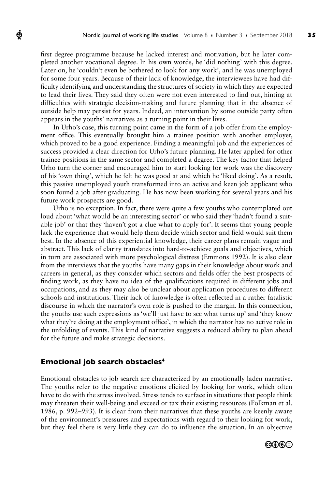first degree programme because he lacked interest and motivation, but he later completed another vocational degree. In his own words, he 'did nothing' with this degree. Later on, he 'couldn't even be bothered to look for any work', and he was unemployed for some four years. Because of their lack of knowledge, the interviewees have had difficulty identifying and understanding the structures of society in which they are expected to lead their lives. They said they often were not even interested to find out, hinting at difficulties with strategic decision-making and future planning that in the absence of outside help may persist for years. Indeed, an intervention by some outside party often appears in the youths' narratives as a turning point in their lives.

In Urho's case, this turning point came in the form of a job offer from the employment office. This eventually brought him a trainee position with another employer, which proved to be a good experience. Finding a meaningful job and the experiences of success provided a clear direction for Urho's future planning. He later applied for other trainee positions in the same sector and completed a degree. The key factor that helped Urho turn the corner and encouraged him to start looking for work was the discovery of his 'own thing', which he felt he was good at and which he 'liked doing'. As a result, this passive unemployed youth transformed into an active and keen job applicant who soon found a job after graduating. He has now been working for several years and his future work prospects are good.

Urho is no exception. In fact, there were quite a few youths who contemplated out loud about 'what would be an interesting sector' or who said they 'hadn't found a suitable job' or that they 'haven't got a clue what to apply for'. It seems that young people lack the experience that would help them decide which sector and field would suit them best. In the absence of this experiential knowledge, their career plans remain vague and abstract. This lack of clarity translates into hard-to-achieve goals and objectives, which in turn are associated with more psychological distress (Emmons 1992). It is also clear from the interviews that the youths have many gaps in their knowledge about work and careers in general, as they consider which sectors and fields offer the best prospects of finding work, as they have no idea of the qualifications required in different jobs and occupations, and as they may also be unclear about application procedures to different schools and institutions. Their lack of knowledge is often reflected in a rather fatalistic discourse in which the narrator's own role is pushed to the margin. In this connection, the youths use such expressions as 'we'll just have to see what turns up' and 'they know what they're doing at the employment office', in which the narrator has no active role in the unfolding of events. This kind of narrative suggests a reduced ability to plan ahead for the future and make strategic decisions.

#### **Emotional job search obstacles4**

ф

Emotional obstacles to job search are characterized by an emotionally laden narrative. The youths refer to the negative emotions elicited by looking for work, which often have to do with the stress involved. Stress tends to surface in situations that people think may threaten their well-being and exceed or tax their existing resources (Folkman et al. 1986, p. 992–993). It is clear from their narratives that these youths are keenly aware of the environment's pressures and expectations with regard to their looking for work, but they feel there is very little they can do to influence the situation. In an objective

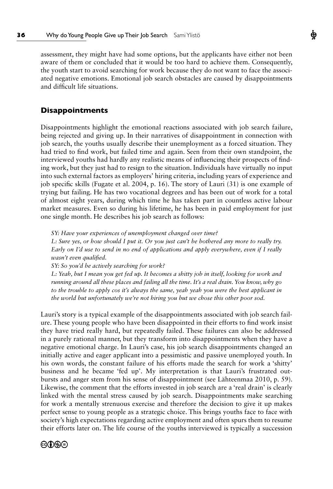assessment, they might have had some options, but the applicants have either not been aware of them or concluded that it would be too hard to achieve them. Consequently, the youth start to avoid searching for work because they do not want to face the associated negative emotions. Emotional job search obstacles are caused by disappointments and difficult life situations.

## **Disappointments**

Disappointments highlight the emotional reactions associated with job search failure, being rejected and giving up. In their narratives of disappointment in connection with job search, the youths usually describe their unemployment as a forced situation. They had tried to find work, but failed time and again. Seen from their own standpoint, the interviewed youths had hardly any realistic means of influencing their prospects of finding work, but they just had to resign to the situation. Individuals have virtually no input into such external factors as employers' hiring criteria, including years of experience and job specific skills (Fugate et al. 2004, p. 16). The story of Lauri (31) is one example of trying but failing. He has two vocational degrees and has been out of work for a total of almost eight years, during which time he has taken part in countless active labour market measures. Even so during his lifetime, he has been in paid employment for just one single month. He describes his job search as follows:

*SY: Have your experiences of unemployment changed over time? L: Sure yes, or how should I put it. Or you just can't be bothered any more to really try. Early on I'd use to send in no end of applications and apply everywhere, even if I really wasn't even qualified.*

*SY: So you'd be actively searching for work?*

*L: Yeah, but I mean you get fed up. It becomes a shitty job in itself, looking for work and running around all these places and failing all the time. It's a real drain. You know, why go to the trouble to apply cos it's always the same, yeah yeah you were the best applicant in the world but unfortunately we're not hiring you but we chose this other poor sod.*

Lauri's story is a typical example of the disappointments associated with job search failure. These young people who have been disappointed in their efforts to find work insist they have tried really hard, but repeatedly failed. These failures can also be addressed in a purely rational manner, but they transform into disappointments when they have a negative emotional charge. In Lauri's case, his job search disappointments changed an initially active and eager applicant into a pessimistic and passive unemployed youth. In his own words, the constant failure of his efforts made the search for work a 'shitty' business and he became 'fed up'. My interpretation is that Lauri's frustrated outbursts and anger stem from his sense of disappointment (see Lähteenmaa 2010, p. 59). Likewise, the comment that the efforts invested in job search are a 'real drain' is clearly linked with the mental stress caused by job search. Disappointments make searching for work a mentally strenuous exercise and therefore the decision to give it up makes perfect sense to young people as a strategic choice. This brings youths face to face with society's high expectations regarding active employment and often spurs them to resume their efforts later on. The life course of the youths interviewed is typically a succession

## ෨∩෧෧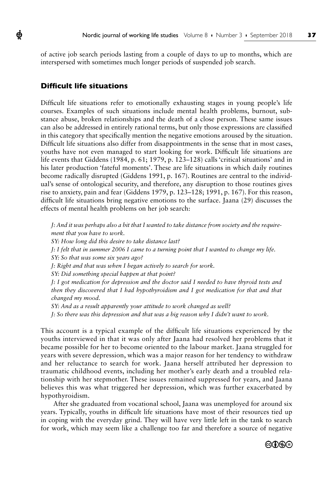of active job search periods lasting from a couple of days to up to months, which are interspersed with sometimes much longer periods of suspended job search.

### **Difficult life situations**

Ф

Difficult life situations refer to emotionally exhausting stages in young people's life courses. Examples of such situations include mental health problems, burnout, substance abuse, broken relationships and the death of a close person. These same issues can also be addressed in entirely rational terms, but only those expressions are classified in this category that specifically mention the negative emotions aroused by the situation. Difficult life situations also differ from disappointments in the sense that in most cases, youths have not even managed to start looking for work. Difficult life situations are life events that Giddens (1984, p. 61; 1979, p. 123–128) calls 'critical situations' and in his later production 'fateful moments'. These are life situations in which daily routines become radically disrupted (Giddens 1991, p. 167). Routines are central to the individual's sense of ontological security, and therefore, any disruption to those routines gives rise to anxiety, pain and fear (Giddens 1979, p. 123–128; 1991, p. 167). For this reason, difficult life situations bring negative emotions to the surface. Jaana (29) discusses the effects of mental health problems on her job search:

*J: And it was perhaps also a bit that I wanted to take distance from society and the requirement that you have to work.*

*SY: How long did this desire to take distance last?*

*J: I felt that in summer 2006 I came to a turning point that I wanted to change my life.* 

*SY: So that was some six years ago?*

*J: Right and that was when I began actively to search for work.*

*SY: Did something special happen at that point?*

*J: I got medication for depression and the doctor said I needed to have thyroid tests and then they discovered that I had hypothyroidism and I got medication for that and that changed my mood.*

*SY: And as a result apparently your attitude to work changed as well?*

*J: So there was this depression and that was a big reason why I didn't want to work.*

This account is a typical example of the difficult life situations experienced by the youths interviewed in that it was only after Jaana had resolved her problems that it became possible for her to become oriented to the labour market. Jaana struggled for years with severe depression, which was a major reason for her tendency to withdraw and her reluctance to search for work. Jaana herself attributed her depression to traumatic childhood events, including her mother's early death and a troubled relationship with her stepmother. These issues remained suppressed for years, and Jaana believes this was what triggered her depression, which was further exacerbated by hypothyroidism.

After she graduated from vocational school, Jaana was unemployed for around six years. Typically, youths in difficult life situations have most of their resources tied up in coping with the everyday grind. They will have very little left in the tank to search for work, which may seem like a challenge too far and therefore a source of negative

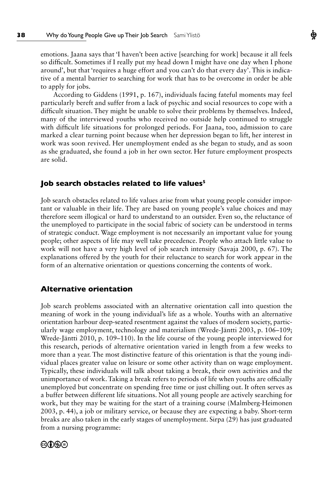emotions. Jaana says that 'I haven't been active [searching for work] because it all feels so difficult. Sometimes if I really put my head down I might have one day when I phone around', but that 'requires a huge effort and you can't do that every day'. This is indicative of a mental barrier to searching for work that has to be overcome in order be able to apply for jobs.

According to Giddens (1991, p. 167), individuals facing fateful moments may feel particularly bereft and suffer from a lack of psychic and social resources to cope with a difficult situation. They might be unable to solve their problems by themselves. Indeed, many of the interviewed youths who received no outside help continued to struggle with difficult life situations for prolonged periods. For Jaana, too, admission to care marked a clear turning point because when her depression began to lift, her interest in work was soon revived. Her unemployment ended as she began to study, and as soon as she graduated, she found a job in her own sector. Her future employment prospects are solid.

#### **Job search obstacles related to life values5**

Job search obstacles related to life values arise from what young people consider important or valuable in their life. They are based on young people's value choices and may therefore seem illogical or hard to understand to an outsider. Even so, the reluctance of the unemployed to participate in the social fabric of society can be understood in terms of strategic conduct. Wage employment is not necessarily an important value for young people; other aspects of life may well take precedence. People who attach little value to work will not have a very high level of job search intensity (Savaja 2000, p. 67). The explanations offered by the youth for their reluctance to search for work appear in the form of an alternative orientation or questions concerning the contents of work.

#### **Alternative orientation**

Job search problems associated with an alternative orientation call into question the meaning of work in the young individual's life as a whole. Youths with an alternative orientation harbour deep-seated resentment against the values of modern society, particularly wage employment, technology and materialism (Wrede-Jäntti 2003, p. 106–109; Wrede-Jäntti 2010, p. 109–110). In the life course of the young people interviewed for this research, periods of alternative orientation varied in length from a few weeks to more than a year. The most distinctive feature of this orientation is that the young individual places greater value on leisure or some other activity than on wage employment. Typically, these individuals will talk about taking a break, their own activities and the unimportance of work. Taking a break refers to periods of life when youths are officially unemployed but concentrate on spending free time or just chilling out. It often serves as a buffer between different life situations. Not all young people are actively searching for work, but they may be waiting for the start of a training course (Malmberg-Heimonen 2003, p. 44), a job or military service, or because they are expecting a baby. Short-term breaks are also taken in the early stages of unemployment. Sirpa (29) has just graduated from a nursing programme:

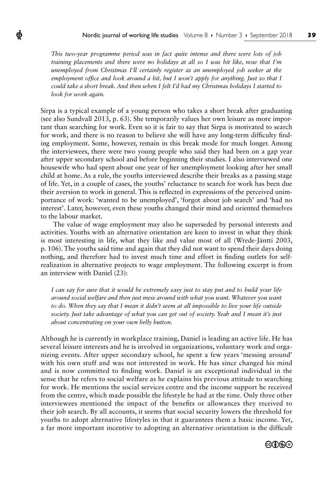*This two-year programme period was in fact quite intense and there were lots of job training placements and there were no holidays at all so I was bit like, now that I'm unemployed from Christmas I'll certainly register as an unemployed job seeker at the employment office and look around a bit, but I won't apply for anything. Just so that I could take a short break. And then when I felt I'd had my Christmas holidays I started to look for work again.*

Ф

Sirpa is a typical example of a young person who takes a short break after graduating (see also Sundvall 2013, p. 63). She temporarily values her own leisure as more important than searching for work. Even so it is fair to say that Sirpa is motivated to search for work, and there is no reason to believe she will have any long-term difficulty finding employment. Some, however, remain in this break mode for much longer. Among the interviewees, there were two young people who said they had been on a gap year after upper secondary school and before beginning their studies. I also interviewed one housewife who had spent about one year of her unemployment looking after her small child at home. As a rule, the youths interviewed describe their breaks as a passing stage of life. Yet, in a couple of cases, the youths' reluctance to search for work has been due their aversion to work in general. This is reflected in expressions of the perceived unimportance of work: 'wanted to be unemployed', 'forgot about job search' and 'had no interest'. Later, however, even these youths changed their mind and oriented themselves to the labour market.

The value of wage employment may also be superseded by personal interests and activities. Youths with an alternative orientation are keen to invest in what they think is most interesting in life, what they like and value most of all (Wrede-Jäntti 2003, p. 106). The youths said time and again that they did not want to spend their days doing nothing, and therefore had to invest much time and effort in finding outlets for selfrealization in alternative projects to wage employment. The following excerpt is from an interview with Daniel (23):

*I can say for sure that it would be extremely easy just to stay put and to build your life around social welfare and then just mess around with what you want. Whatever you want*  to do. When they say that I mean it didn't seem at all impossible to live your life outside *society. Just take advantage of what you can get out of society. Yeah and I mean it's just about concentrating on your own belly button.*

Although he is currently in workplace training, Daniel is leading an active life. He has several leisure interests and he is involved in organizations, voluntary work and organizing events. After upper secondary school, he spent a few years 'messing around' with his own stuff and was not interested in work. He has since changed his mind and is now committed to finding work. Daniel is an exceptional individual in the sense that he refers to social welfare as he explains his previous attitude to searching for work. He mentions the social services centre and the income support he received from the centre, which made possible the lifestyle he had at the time. Only three other interviewees mentioned the impact of the benefits or allowances they received to their job search. By all accounts, it seems that social security lowers the threshold for youths to adopt alternative lifestyles in that it guarantees them a basic income. Yet, a far more important incentive to adopting an alternative orientation is the difficult

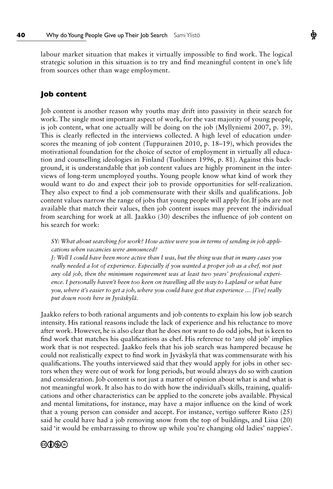labour market situation that makes it virtually impossible to find work. The logical strategic solution in this situation is to try and find meaningful content in one's life from sources other than wage employment.

## **Job content**

Job content is another reason why youths may drift into passivity in their search for work. The single most important aspect of work, for the vast majority of young people, is job content, what one actually will be doing on the job (Myllyniemi 2007, p. 39). This is clearly reflected in the interviews collected. A high level of education underscores the meaning of job content (Tuppurainen 2010, p. 18–19), which provides the motivational foundation for the choice of sector of employment in virtually all education and counselling ideologies in Finland (Tuohinen 1996, p. 81). Against this background, it is understandable that job content values are highly prominent in the interviews of long-term unemployed youths. Young people know what kind of work they would want to do and expect their job to provide opportunities for self-realization. They also expect to find a job commensurate with their skills and qualifications. Job content values narrow the range of jobs that young people will apply for. If jobs are not available that match their values, then job content issues may prevent the individual from searching for work at all. Jaakko (30) describes the influence of job content on his search for work:

*SY: What about searching for work? How active were you in terms of sending in job applications when vacancies were announced?*

*J: Well I could have been more active than I was, but the thing was that in many cases you really needed a lot of experience. Especially if you wanted a proper job as a chef, not just any old job, then the minimum requirement was at least two years' professional experience. I personally haven't been too keen on travelling all the way to Lapland or what have you, where it's easier to get a job, where you could have got that experience … [I've] really put down roots here in Jyväskylä.*

Jaakko refers to both rational arguments and job contents to explain his low job search intensity. His rational reasons include the lack of experience and his reluctance to move after work. However, he is also clear that he does not want to do odd jobs, but is keen to find work that matches his qualifications as chef. His reference to 'any old job' implies work that is not respected. Jaakko feels that his job search was hampered because he could not realistically expect to find work in Jyväskylä that was commensurate with his qualifications. The youths interviewed said that they would apply for jobs in other sectors when they were out of work for long periods, but would always do so with caution and consideration. Job content is not just a matter of opinion about what is and what is not meaningful work. It also has to do with how the individual's skills, training, qualifications and other characteristics can be applied to the concrete jobs available. Physical and mental limitations, for instance, may have a major influence on the kind of work that a young person can consider and accept. For instance, vertigo sufferer Risto (25) said he could have had a job removing snow from the top of buildings, and Liisa (20) said 'it would be embarrassing to throw up while you're changing old ladies' nappies'.

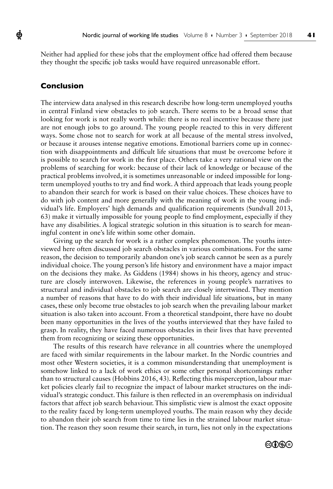Neither had applied for these jobs that the employment office had offered them because they thought the specific job tasks would have required unreasonable effort.

### **Conclusion**

ф

The interview data analysed in this research describe how long-term unemployed youths in central Finland view obstacles to job search. There seems to be a broad sense that looking for work is not really worth while: there is no real incentive because there just are not enough jobs to go around. The young people reacted to this in very different ways. Some chose not to search for work at all because of the mental stress involved, or because it arouses intense negative emotions. Emotional barriers come up in connection with disappointments and difficult life situations that must be overcome before it is possible to search for work in the first place. Others take a very rational view on the problems of searching for work: because of their lack of knowledge or because of the practical problems involved, it is sometimes unreasonable or indeed impossible for longterm unemployed youths to try and find work. A third approach that leads young people to abandon their search for work is based on their value choices. These choices have to do with job content and more generally with the meaning of work in the young individual's life. Employers' high demands and qualification requirements (Sundvall 2013, 63) make it virtually impossible for young people to find employment, especially if they have any disabilities. A logical strategic solution in this situation is to search for meaningful content in one's life within some other domain.

Giving up the search for work is a rather complex phenomenon. The youths interviewed here often discussed job search obstacles in various combinations. For the same reason, the decision to temporarily abandon one's job search cannot be seen as a purely individual choice. The young person's life history and environment have a major impact on the decisions they make. As Giddens (1984) shows in his theory, agency and structure are closely interwoven. Likewise, the references in young people's narratives to structural and individual obstacles to job search are closely intertwined. They mention a number of reasons that have to do with their individual life situations, but in many cases, these only become true obstacles to job search when the prevailing labour market situation is also taken into account. From a theoretical standpoint, there have no doubt been many opportunities in the lives of the youths interviewed that they have failed to grasp. In reality, they have faced numerous obstacles in their lives that have prevented them from recognizing or seizing these opportunities.

The results of this research have relevance in all countries where the unemployed are faced with similar requirements in the labour market. In the Nordic countries and most other Western societies, it is a common misunderstanding that unemployment is somehow linked to a lack of work ethics or some other personal shortcomings rather than to structural causes (Hobbins 2016, 43). Reflecting this misperception, labour market policies clearly fail to recognize the impact of labour market structures on the individual's strategic conduct. This failure is then reflected in an overemphasis on individual factors that affect job search behaviour. This simplistic view is almost the exact opposite to the reality faced by long-term unemployed youths. The main reason why they decide to abandon their job search from time to time lies in the strained labour market situation. The reason they soon resume their search, in turn, lies not only in the expectations

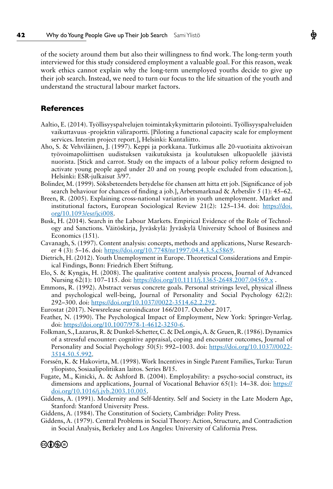of the society around them but also their willingness to find work. The long-term youth interviewed for this study considered employment a valuable goal. For this reason, weak work ethics cannot explain why the long-term unemployed youths decide to give up their job search. Instead, we need to turn our focus to the life situation of the youth and understand the structural labour market factors.

#### **References**

- Aaltio, E. (2014). Työllisyyspalvelujen toimintakykymittarin pilotointi. Työllisyyspalveluiden vaikuttavuus -projektin väliraportti. [Piloting a functional capacity scale for employment services. Interim project report.], Helsinki: Kuntaliitto.
- Aho, S. & Vehviläinen, J. (1997). Keppi ja porkkana. Tutkimus alle 20-vuotiaita aktivoivan työvoimapoliittisen uudistuksen vaikutuksista ja koulutuksen ulkopuolelle jäävistä nuorista. [Stick and carrot. Study on the impacts of a labour policy reform designed to activate young people aged under 20 and on young people excluded from education.], Helsinki: ESR-julkaisut 3/97.
- Bolinder, M. (1999). Söksbeteendets betydelse för chansen att hitta ett job. [Significance of job search behaviour for chances of finding a job.], Arbetsmarknad & Arbetsliv 5 (1): 45–62.
- Breen, R. (2005). Explaining cross-national variation in youth unemployment. Market and institutional factors, European Sociological Review 21(2): 125–134. doi: https://doi. org/10.1093/esr/jci008.
- Busk, H. (2014). Search in the Labour Markets. Empirical Evidence of the Role of Technology and Sanctions. Väitöskirja, Jyväskylä: Jyväskylä University School of Business and Economics (151).
- Cavanagh, S. (1997). Content analysis: concepts, methods and applications, Nurse Researcher 4 (3): 5-16. doi: [https://doi.org/10.7748/nr1997.04.4.3.5.c5869.](https://doi.org/10.7748/nr1997.04.4.3.5.c5869)
- Dietrich, H. (2012). Youth Unemployment in Europe. Theoretical Considerations and Empirical Findings, Bonn: Friedrich Ebert Stiftung.
- Elo, S. & Kyngäs, H. (2008). The qualitative content analysis process, Journal of Advanced Nursing 62(1): 107-115. doi: https://doi.org/10.1111/j.1365-2648.2007.04569.x.
- Emmons, R. (1992). Abstract versus concrete goals. Personal strivings level, physical illness and psychological well-being, Journal of Personality and Social Psychology 62(2): 292-300. doi: [https://doi.org/10.1037//0022-3514.62.2.292](https://doi.org/10.1037/0022-3514.62.2.292).
- Eurostat (2017). Newsrelease euroindicator 166/2017. October 2017.
- Feather, N. (1990). The Psychological Impact of Employment, New York: Springer-Verlag. doi: [https://doi.org/10.1007/978-1-4612-3250-6.](https://doi.org/10.1007/978-1-4612-3250-6)
- Folkman, S., Lazarus, R. & Dunkel-Schetter, C. & DeLongis, A. & Gruen, R. (1986). Dynamics of a stressful encounter: cognitive appraisal, coping and encounter outcomes, Journal of Personality and Social Psychology 50(5): 992–1003. doi: [https://doi.org/10.1037//0022-](https://doi.org/10.1037/0022-3514.50.5.992) [3514.50.5.992](https://doi.org/10.1037/0022-3514.50.5.992).
- Forssén, K. & Hakovirta, M. (1998). Work Incentives in Single Parent Families, Turku: Turun yliopisto, Sosiaalipolitiikan laitos. Series B/15.
- Fugate, M., Kinicki, A. & Ashford B. (2004). Employability: a psycho-social construct, its dimensions and applications, Journal of Vocational Behavior  $65(1)$ : 14–38. doi: [https://](https://doi.org/10.1016/j.jvb.2003.10.005) [doi.org/10.1016/j.jvb.2003.10.005.](https://doi.org/10.1016/j.jvb.2003.10.005)
- Giddens, A. (1991). Modernity and Self-Identity. Self and Society in the Late Modern Age, Stanford: Stanford University Press.
- Giddens, A. (1984). The Constitution of Society, Cambridge: Polity Press.
- Giddens, A. (1979). Central Problems in Social Theory: Action, Structure, and Contradiction in Social Analysis, Berkeley and Los Angeles: University of California Press.

Ф

## ©OSO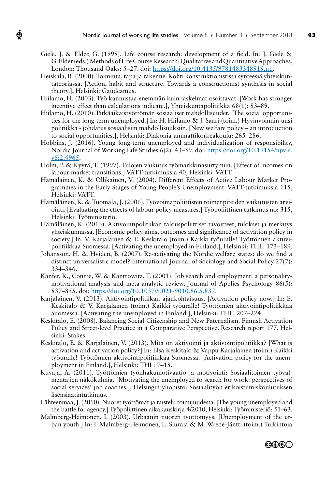Giele, J. & Elder, G. (1998). Life course research: development of a field. In: J. Giele & G. Elder (eds.) Methods of Life Course Research: Qualitative and Quantitative Approaches, London: Thousand Oaks: 5–27. doi: [https://doi.org/10.4135/9781483348919.n1.](https://doi.org/10.4135/9781483348919.n1)

ф

- Heiskala, R. (2000). Toiminta, tapa ja rakenne. Kohti konstruktionistista synteesiä yhteiskuntateoriassa. [Action, habit and structure. Towards a constructionist synthesis in social theory.], Helsinki: Gaudeamus.
- Hiilamo, H. (2003). Työ kannustaa enemmän kuin laskelmat osoittavat. [Work has stronger incentive effect than calculations indicate.], Yhteiskuntapolitiikka 68(1): 83–89.
- Hiilamo, H. (2010). Pitkäaikaistyöttömän sosiaaliset mahdollisuudet. [The social opportunities for the long-term unemployed.] In: H. Hiilamo & J. Saari (toim.) Hyvinvoinnin uusi politiikka - johdatus sosiaalisiin mahdollisuuksiin. [New welfare policy – an introduction to social opportunities.], Helsinki: Diakonia-ammattikorkeakoulu: 265–286.
- Hobbins, J. (2016). Young long-term unemployed and individualization of responsibility, Nordic Journal of Working Life Studies 6(2): 43–59. doi: [https://doi.org/10.19154/njwls.](https://doi.org/10.19154/njwls.v6i2.4965) [v6i2.4965](https://doi.org/10.19154/njwls.v6i2.4965).
- Holm, P. & Kyyrä, T. (1997). Tulojen vaikutus työmarkkinasiirtymiin. [Effect of incomes on labour market transitions.] VATT-tutkimuksia 40, Helsinki: VATT.
- Hämäläinen, K. & Ollikainen, V. (2004). Different Effects of Active Labour Market Programmes in the Early Stages of Young People's Unemployment. VATT-tutkimuksia 115, Helsinki: VATT.
- Hämäläinen, K. & Tuomala, J. (2006). Työvoimapoliittisten toimenpiteiden vaikutusten arviointi. [Evaluating the effects of labour policy measures.] Työpoliittinen tutkimus no: 315, Helsinki: Työministeriö.
- Hämäläinen, K. (2013). Aktivointipolitiikan talouspoliittiset tavoitteet, tulokset ja merkitys yhteiskunnassa. [Economic policy aims, outcomes and significance of activation policy in society.] In: V. Karjalainen & E. Keskitalo (toim.) Kaikki työuralle! Työttömien aktiivipolitiikkaa Suomessa. [Activating the unemployed in Finland.], Helsinki: THL: 173–189.
- Johansson, H. & Hviden, B. (2007). Re-activating the Nordic welfare states: do we find a distinct universalistic model? International Journal of Sociology and Social Policy 27(7): 334–346.
- Kanfer, R., Connie, W. & Kantrowitz, T. (2001). Job search and employment: a personalitymotivational analysis and meta-analytic review, Journal of Applies Psychology 86(5): 837–855. doi: [https://doi.org/10.1037//0021-9010.86.5.837](https://doi.org/10.1037/0021-9010.86.5.837).
- Karjalainen, V. (2013). Aktivointipolitiikan ajankohtaisuus. [Activation policy now.] In: E. Keskitalo & V. Karjalainen (toim.) Kaikki työuralle! Työttömien aktivointipolitiikkaa Suomessa. [Activating the unemployed in Finland.], Helsinki: THL: 207–224.
- Keskitalo, E. (2008). Balancing Social Citizenship and New Paternalism. Finnish Activation Policy and Street-level Practice in a Comparative Perspective. Research report 177, Helsinki: Stakes.
- Keskitalo, E. & Karjalainen, V. (2013). Mitä on aktivointi ja aktivointipolitiikka? [What is activation and activation policy?] In: Elsa Keskitalo & Vappu Karjalainen (toim.) Kaikki työuralle! Työttömien aktivointipolitiikkaa Suomessa. [Activation policy for the unemployment in Finland.], Helsinki: THL: 7–18.
- Kuvaja, A. (2011). Työttömien työnhakumotivaatio ja motivointi: Sosiaalitoimen työvalmentajien näkökulmia. [Motivating the unemployed to search for work: perspectives of social services' job coaches.], Helsingin yliopisto: Sosiaalityön erikoistumiskoulutuksen lisensiaatintutkimus.
- Lähteenmaa, J. (2010). Nuoret työttömät ja taistelu toimijuudesta. [The young unemployed and the battle for agency.] Työpoliittinen aikakauskirja 4/2010, Helsinki: Työministeriö: 51–63.
- Malmberg-Heimonen, I. (2003). Urbaanin nuoren työttömyys. [Unemployment of the urban youth.] In: I. Malmberg-Heimonen, L. Siurala & M. Wrede-Jäntti (toim.) Tulkintoja

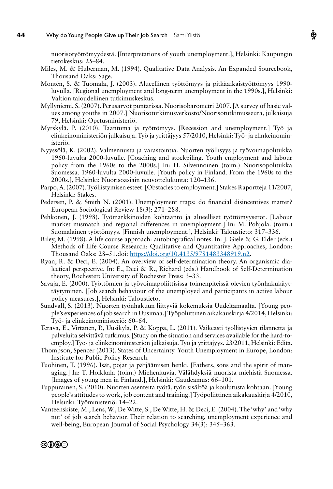nuorisotyöttömyydestä. [Interpretations of youth unemployment.], Helsinki: Kaupungin tietokeskus: 25–84.

- Miles, M. & Huberman, M. (1994). Qualitative Data Analysis. An Expanded Sourcebook, Thousand Oaks: Sage.
- Montén, S. & Tuomala, J. (2003). Alueellinen työttömyys ja pitkäaikaistyöttömyys 1990 luvulla. [Regional unemployment and long-term unemployment in the 1990s.], Helsinki: Valtion taloudellinen tutkimuskeskus.
- Myllyniemi, S. (2007). Perusarvot puntarissa. Nuorisobarometri 2007. [A survey of basic values among youths in 2007.] Nuorisotutkimusverkosto/Nuorisotutkimusseura, julkaisuja 79, Helsinki: Opetusministeriö.
- Myrskylä, P. (2010). Taantuma ja työttömyys. [Recession and unemployment.] Työ ja elinkeinoministeriön julkaisuja. Työ ja yrittäjyys 57/2010, Helsinki: Työ- ja elinkeinoministeriö.
- Nyyssölä, K. (2002). Valmennusta ja varastointia. Nuorten työllisyys ja työvoimapolitiikka 1960-luvulta 2000-luvulle. [Coaching and stockpiling. Youth employment and labour policy from the 1960s to the 2000s.] In: H. Silvennoinen (toim.) Nuorisopolitiikka Suomessa. 1960-luvulta 2000-luvulle. [Youth policy in Finland. From the 1960s to the 2000s.], Helsinki: Nuorisoasiain neuvottelukunta: 120–136.
- Parpo, A. (2007). Työllistymisen esteet. [Obstacles to employment.] Stakes Raportteja 11/2007, Helsinki: Stakes.
- Pedersen, P. & Smith N. (2001). Unemployment traps: do financial disincentives matter? European Sociological Review 18(3): 271–288.
- Pehkonen, J. (1998). Työmarkkinoiden kohtaanto ja alueelliset työttömyyserot. [Labour market mismatch and regional differences in unemployment.] In: M. Pohjola. (toim.) Suomalainen työttömyys. [Finnish unemployment.], Helsinki: Taloustieto: 317–336.
- Riley, M. (1998). A life course approach: autobiografical notes. In: J. Giele & G. Elder (eds.) Methods of Life Course Research: Qualitative and Quantitative Approaches, London: Thousand Oaks: 28–51.doi:<https://doi.org/10.4135/9781483348919.n2>.
- Ryan, R. & Deci, E. (2004). An overview of self-determination theory. An organismic dialectical perspective. In: E., Deci & R., Richard (eds.) Handbook of Self-Determination theory, Rochester: University of Rochester Press: 3–33.
- Savaja, E. (2000). Työttömien ja työvoimapoliittisissa toimenpiteissä olevien työnhakukäyttäytyminen. [Job search behaviour of the unemployed and participants in active labour policy measures.], Helsinki: Taloustieto.
- Sundvall, S. (2013). Nuorten työnhakuun liittyviä kokemuksia Uudeltamaalta. [Young people's experiences of job search in Uusimaa.] Työpoliittinen aikakauskirja 4/2014, Helsinki: Työ- ja elinkeinoministeriö: 60–64.
- Terävä, E., Virtanen, P., Uusikylä, P. & Köppä, L. (2011). Vaikeasti työllistyvien tilannetta ja palveluita selvittävä tutkimus. [Study on the situation and services available for the hard-toemploy.] Työ- ja elinkeinoministeriön julkaisuja. Työ ja yrittäjyys. 23/2011, Helsinki: Edita.
- Thompson, Spencer (2013). States of Uncertainty. Youth Unemployment in Europe, London: Institute for Public Policy Research.
- Tuohinen, T. (1996). Isät, pojat ja pärjäämisen henki. [Fathers, sons and the spirit of managing.] In: T. Hoikkala (toim.) Miehenkuvia. Välähdyksiä nuorista miehistä Suomessa. [Images of young men in Finland.], Helsinki: Gaudeamus: 66–101.
- Tuppurainen, S. (2010). Nuorten asenteita työtä, työn sisältöä ja koulutusta kohtaan. [Young people's attitudes to work, job content and training.] Työpoliittinen aikakauskirja 4/2010, Helsinki: Työministeriö: 14–22.
- Vanteenskiste, M., Lens, W., De Witte, S., De Witte, H. & Deci, E. (2004). The 'why' and 'why not' of job search behavior. Their relation to searching, unemployment experience and well-being, European Journal of Social Psychology 34(3): 345–363.

Ф

#### ©OSO